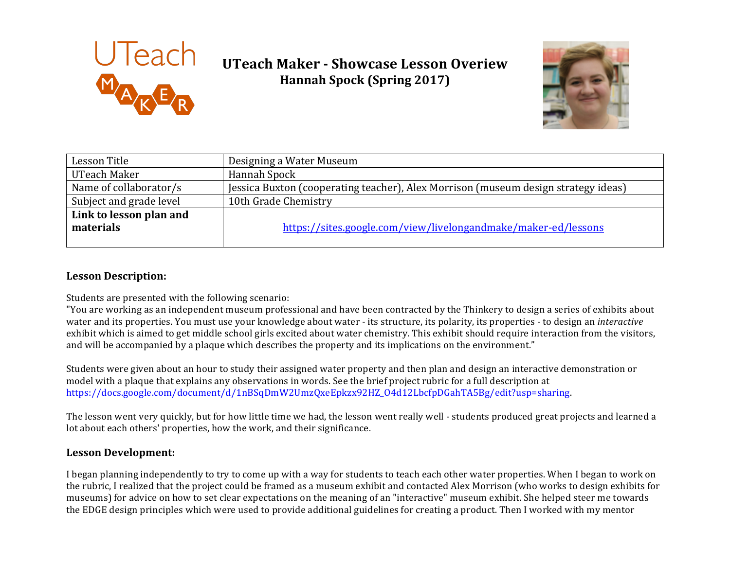

# **UTeach Maker - Showcase Lesson Overiew Hannah Spock (Spring 2017)**



| Lesson Title                         | Designing a Water Museum                                                           |
|--------------------------------------|------------------------------------------------------------------------------------|
| UTeach Maker                         | Hannah Spock                                                                       |
| Name of collaborator/s               | Jessica Buxton (cooperating teacher), Alex Morrison (museum design strategy ideas) |
| Subject and grade level              | 10th Grade Chemistry                                                               |
| Link to lesson plan and<br>materials | https://sites.google.com/view/livelongandmake/maker-ed/lessons                     |

## **Lesson Description:**

Students are presented with the following scenario:

"You are working as an independent museum professional and have been contracted by the Thinkery to design a series of exhibits about water and its properties. You must use your knowledge about water - its structure, its polarity, its properties - to design an *interactive* exhibit which is aimed to get middle school girls excited about water chemistry. This exhibit should require interaction from the visitors, and will be accompanied by a plaque which describes the property and its implications on the environment."

Students were given about an hour to study their assigned water property and then plan and design an interactive demonstration or model with a plaque that explains any observations in words. See the brief project rubric for a full description at https://docs.google.com/document/d/1nBSqDmW2UmzQxeEpkzx92HZ\_O4d12LbcfpDGahTA5Bg/edit?usp=sharing.

The lesson went very quickly, but for how little time we had, the lesson went really well - students produced great projects and learned a lot about each others' properties, how the work, and their significance.

#### **Lesson Development:**

I began planning independently to try to come up with a way for students to teach each other water properties. When I began to work on the rubric, I realized that the project could be framed as a museum exhibit and contacted Alex Morrison (who works to design exhibits for museums) for advice on how to set clear expectations on the meaning of an "interactive" museum exhibit. She helped steer me towards the EDGE design principles which were used to provide additional guidelines for creating a product. Then I worked with my mentor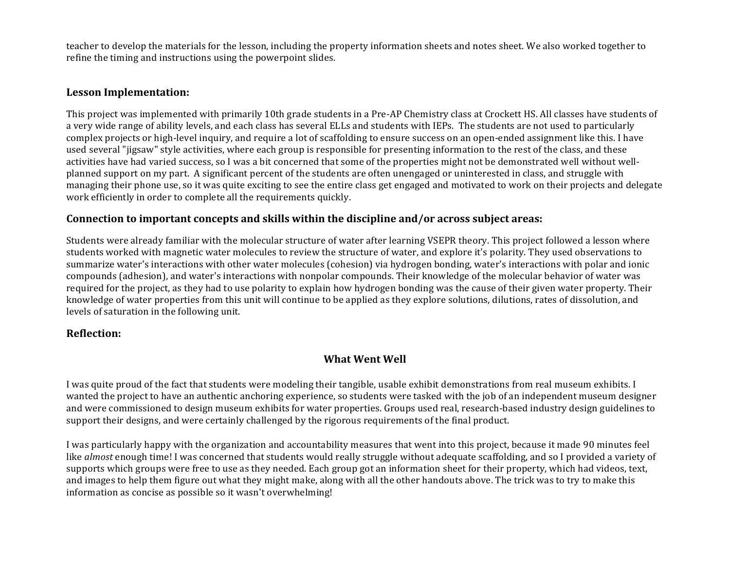teacher to develop the materials for the lesson, including the property information sheets and notes sheet. We also worked together to refine the timing and instructions using the powerpoint slides.

#### **Lesson Implementation:**

This project was implemented with primarily 10th grade students in a Pre-AP Chemistry class at Crockett HS. All classes have students of a very wide range of ability levels, and each class has several ELLs and students with IEPs. The students are not used to particularly complex projects or high-level inquiry, and require a lot of scaffolding to ensure success on an open-ended assignment like this. I have used several "jigsaw" style activities, where each group is responsible for presenting information to the rest of the class, and these activities have had varied success, so I was a bit concerned that some of the properties might not be demonstrated well without wellplanned support on my part. A significant percent of the students are often unengaged or uninterested in class, and struggle with managing their phone use, so it was quite exciting to see the entire class get engaged and motivated to work on their projects and delegate work efficiently in order to complete all the requirements quickly.

#### **Connection to important concepts and skills within the discipline and/or across subject areas:**

Students were already familiar with the molecular structure of water after learning VSEPR theory. This project followed a lesson where students worked with magnetic water molecules to review the structure of water, and explore it's polarity. They used observations to summarize water's interactions with other water molecules (cohesion) via hydrogen bonding, water's interactions with polar and ionic compounds (adhesion), and water's interactions with nonpolar compounds. Their knowledge of the molecular behavior of water was required for the project, as they had to use polarity to explain how hydrogen bonding was the cause of their given water property. Their knowledge of water properties from this unit will continue to be applied as they explore solutions, dilutions, rates of dissolution, and levels of saturation in the following unit.

#### **Reflection:**

## **What Went Well**

I was quite proud of the fact that students were modeling their tangible, usable exhibit demonstrations from real museum exhibits. I wanted the project to have an authentic anchoring experience, so students were tasked with the job of an independent museum designer and were commissioned to design museum exhibits for water properties. Groups used real, research-based industry design guidelines to support their designs, and were certainly challenged by the rigorous requirements of the final product.

I was particularly happy with the organization and accountability measures that went into this project, because it made 90 minutes feel like *almost* enough time! I was concerned that students would really struggle without adequate scaffolding, and so I provided a variety of supports which groups were free to use as they needed. Each group got an information sheet for their property, which had videos, text, and images to help them figure out what they might make, along with all the other handouts above. The trick was to try to make this information as concise as possible so it wasn't overwhelming!